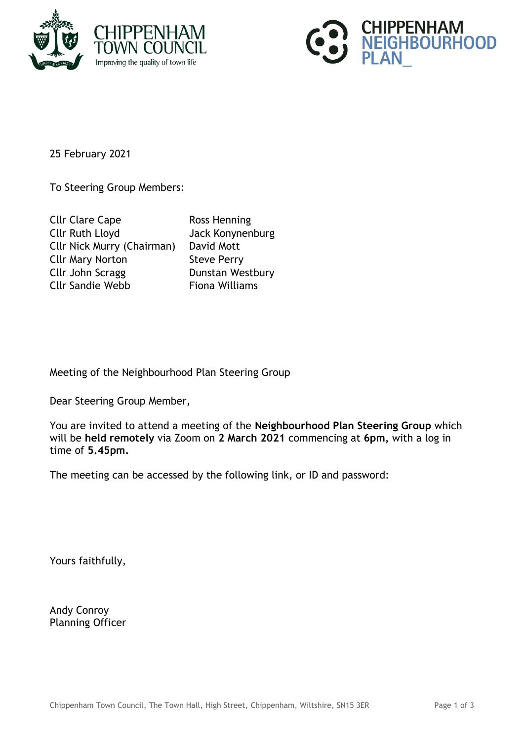



25 February 2021

To Steering Group Members:

| <b>Cllr Clare Cape</b>            | Ross Henning          |
|-----------------------------------|-----------------------|
| <b>Cllr Ruth Lloyd</b>            | Jack Konynenburg      |
| <b>Cllr Nick Murry (Chairman)</b> | David Mott            |
| <b>Cllr Mary Norton</b>           | <b>Steve Perry</b>    |
| Cllr John Scragg                  | Dunstan Westbury      |
| <b>Cllr Sandie Webb</b>           | <b>Fiona Williams</b> |

Meeting of the Neighbourhood Plan Steering Group

Dear Steering Group Member,

You are invited to attend a meeting of the **Neighbourhood Plan Steering Group** which will be **held remotely** via Zoom on **2 March 2021** commencing at **6pm,** with a log in time of **5.45pm.**

The meeting can be accessed by the following link, or ID and password:

Yours faithfully,

Andy Conroy Planning Officer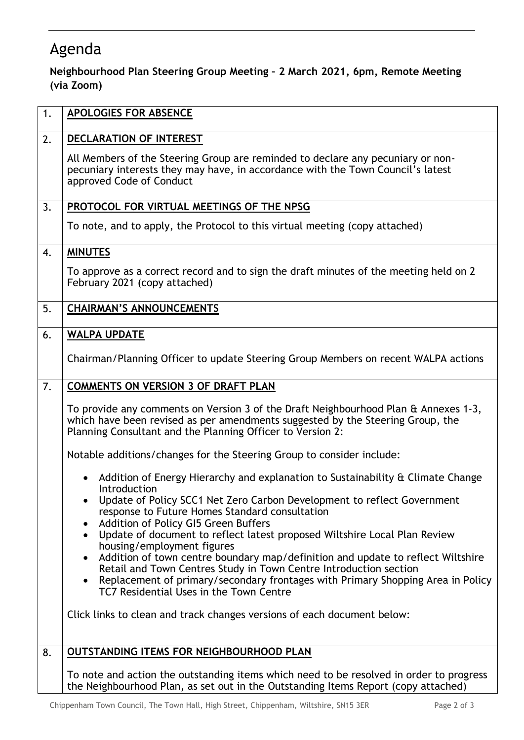## Agenda

## **Neighbourhood Plan Steering Group Meeting – 2 March 2021, 6pm, Remote Meeting (via Zoom)**

| 1. | <b>APOLOGIES FOR ABSENCE</b>                                                                                                                                                                                                                                                                                                               |
|----|--------------------------------------------------------------------------------------------------------------------------------------------------------------------------------------------------------------------------------------------------------------------------------------------------------------------------------------------|
| 2. | DECLARATION OF INTEREST                                                                                                                                                                                                                                                                                                                    |
|    | All Members of the Steering Group are reminded to declare any pecuniary or non-<br>pecuniary interests they may have, in accordance with the Town Council's latest<br>approved Code of Conduct                                                                                                                                             |
| 3. | PROTOCOL FOR VIRTUAL MEETINGS OF THE NPSG                                                                                                                                                                                                                                                                                                  |
|    | To note, and to apply, the Protocol to this virtual meeting (copy attached)                                                                                                                                                                                                                                                                |
| 4. | <b>MINUTES</b>                                                                                                                                                                                                                                                                                                                             |
|    | To approve as a correct record and to sign the draft minutes of the meeting held on 2<br>February 2021 (copy attached)                                                                                                                                                                                                                     |
| 5. | <b>CHAIRMAN'S ANNOUNCEMENTS</b>                                                                                                                                                                                                                                                                                                            |
| 6. | <b>WALPA UPDATE</b>                                                                                                                                                                                                                                                                                                                        |
|    | Chairman/Planning Officer to update Steering Group Members on recent WALPA actions                                                                                                                                                                                                                                                         |
| 7. | <b>COMMENTS ON VERSION 3 OF DRAFT PLAN</b>                                                                                                                                                                                                                                                                                                 |
|    | To provide any comments on Version 3 of the Draft Neighbourhood Plan & Annexes 1-3,<br>which have been revised as per amendments suggested by the Steering Group, the<br>Planning Consultant and the Planning Officer to Version 2:                                                                                                        |
|    | Notable additions/changes for the Steering Group to consider include:                                                                                                                                                                                                                                                                      |
|    | Addition of Energy Hierarchy and explanation to Sustainability & Climate Change<br>$\bullet$<br>Introduction                                                                                                                                                                                                                               |
|    | Update of Policy SCC1 Net Zero Carbon Development to reflect Government<br>response to Future Homes Standard consultation                                                                                                                                                                                                                  |
|    | Addition of Policy GI5 Green Buffers<br>Update of document to reflect latest proposed Wiltshire Local Plan Review<br>$\bullet$                                                                                                                                                                                                             |
|    | housing/employment figures<br>Addition of town centre boundary map/definition and update to reflect Wiltshire<br>$\bullet$<br>Retail and Town Centres Study in Town Centre Introduction section<br>Replacement of primary/secondary frontages with Primary Shopping Area in Policy<br>$\bullet$<br>TC7 Residential Uses in the Town Centre |
|    | Click links to clean and track changes versions of each document below:                                                                                                                                                                                                                                                                    |
| 8. | <b>OUTSTANDING ITEMS FOR NEIGHBOURHOOD PLAN</b>                                                                                                                                                                                                                                                                                            |
|    | To note and action the outstanding items which need to be resolved in order to progress<br>the Neighbourhood Plan, as set out in the Outstanding Items Report (copy attached)                                                                                                                                                              |